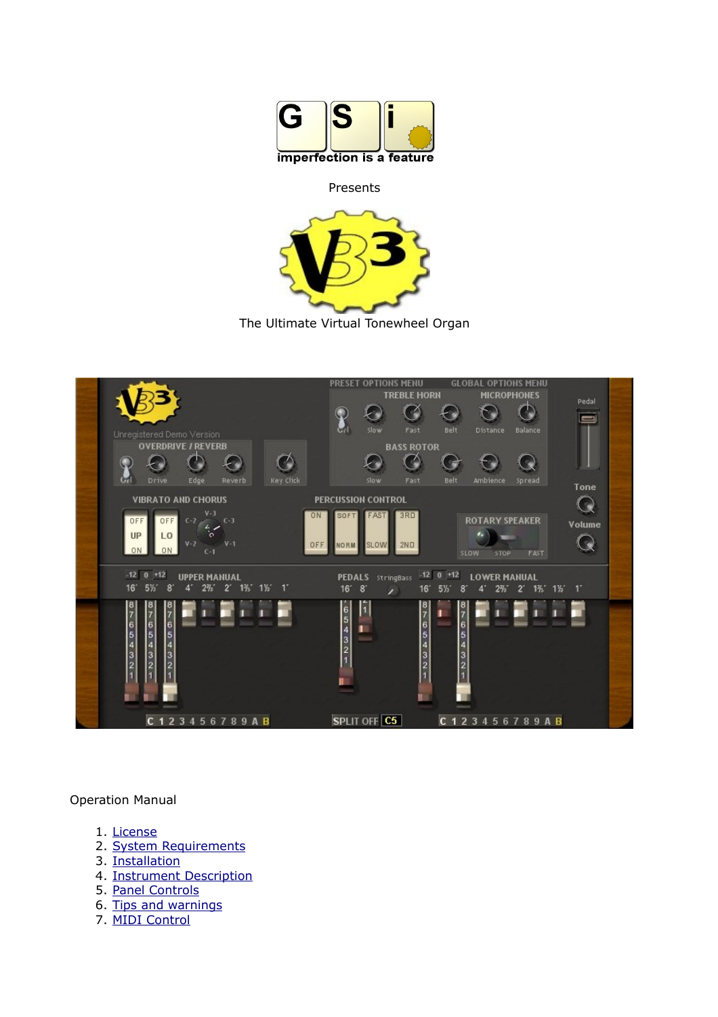

#### Presents



The Ultimate Virtual Tonewheel Organ



#### Operation Manual

- 1. [License](#page-1-0)
- 2. [System Requirements](#page-2-1)
- 3. [Installation](#page-2-0)
- 4. [Instrument Description](#page-3-0)
- <span id="page-0-0"></span>5. [Panel Controls](#page-8-0)
- 6. [Tips and warnings](#page-0-0)
- 7. [MIDI Control](#page-11-0)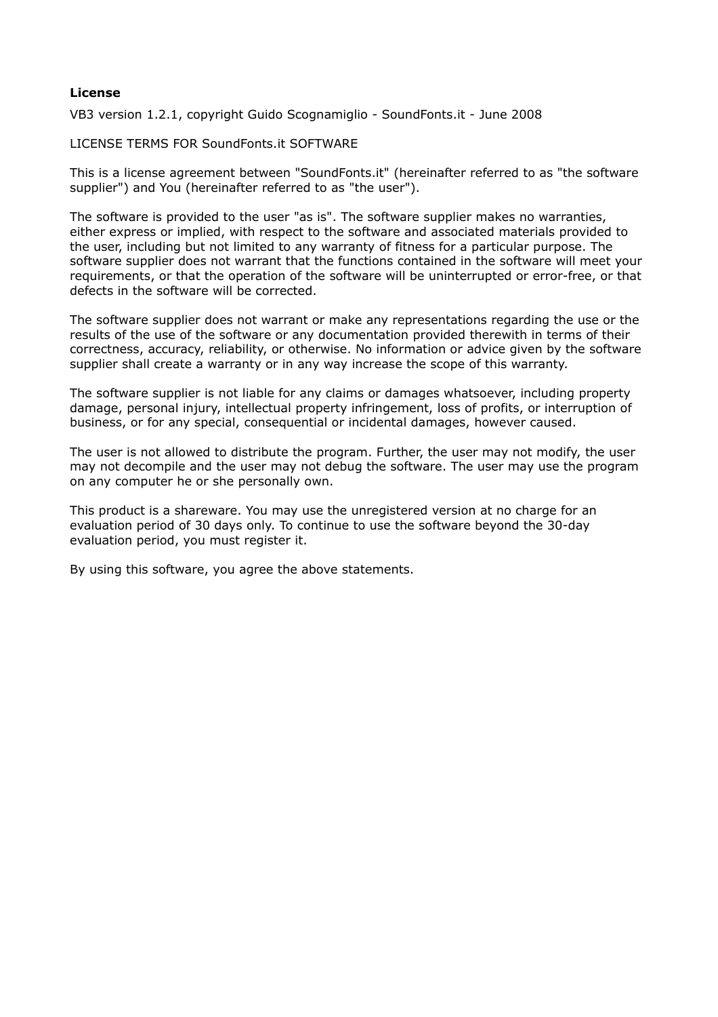#### <span id="page-1-0"></span>**License**

VB3 version 1.2.1, copyright Guido Scognamiglio - SoundFonts.it - June 2008

LICENSE TERMS FOR SoundFonts.it SOFTWARE

This is a license agreement between "SoundFonts.it" (hereinafter referred to as "the software supplier") and You (hereinafter referred to as "the user").

The software is provided to the user "as is". The software supplier makes no warranties, either express or implied, with respect to the software and associated materials provided to the user, including but not limited to any warranty of fitness for a particular purpose. The software supplier does not warrant that the functions contained in the software will meet your requirements, or that the operation of the software will be uninterrupted or error-free, or that defects in the software will be corrected.

The software supplier does not warrant or make any representations regarding the use or the results of the use of the software or any documentation provided therewith in terms of their correctness, accuracy, reliability, or otherwise. No information or advice given by the software supplier shall create a warranty or in any way increase the scope of this warranty.

The software supplier is not liable for any claims or damages whatsoever, including property damage, personal injury, intellectual property infringement, loss of profits, or interruption of business, or for any special, consequential or incidental damages, however caused.

The user is not allowed to distribute the program. Further, the user may not modify, the user may not decompile and the user may not debug the software. The user may use the program on any computer he or she personally own.

This product is a shareware. You may use the unregistered version at no charge for an evaluation period of 30 days only. To continue to use the software beyond the 30-day evaluation period, you must register it.

By using this software, you agree the above statements.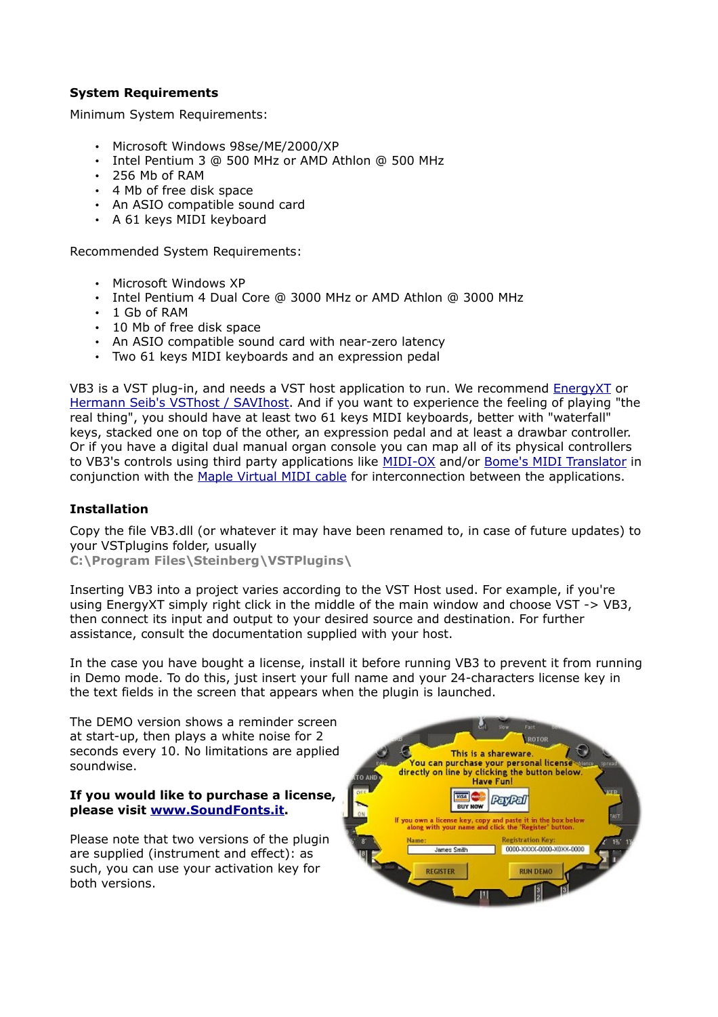# <span id="page-2-1"></span>**System Requirements**

Minimum System Requirements:

- Microsoft Windows 98se/ME/2000/XP
- Intel Pentium 3 @ 500 MHz or AMD Athlon @ 500 MHz
- 256 Mb of RAM
- 4 Mb of free disk space
- An ASIO compatible sound card
- A 61 keys MIDI keyboard

Recommended System Requirements:

- Microsoft Windows XP
- Intel Pentium 4 Dual Core @ 3000 MHz or AMD Athlon @ 3000 MHz
- 1 Gb of RAM
- 10 Mb of free disk space
- An ASIO compatible sound card with near-zero latency
- Two 61 keys MIDI keyboards and an expression pedal

VB3 is a VST plug-in, and needs a VST host application to run. We recommend [EnergyXT](http://www.energy-xt.com/) or [Hermann Seib's VSThost / SAVIhost.](http://www.hermannseib.com/english/vsthost.htm) And if you want to experience the feeling of playing "the real thing", you should have at least two 61 keys MIDI keyboards, better with "waterfall" keys, stacked one on top of the other, an expression pedal and at least a drawbar controller. Or if you have a digital dual manual organ console you can map all of its physical controllers to VB3's controls using third party applications like [MIDI-OX](http://www.midiox.com/) and/or [Bome's MIDI Translator](http://www.bome.com/midi/translator/) in conjunction with the [Maple Virtual MIDI cable](http://www.hurchalla.com/Maple_driver.html) for interconnection between the applications.

### <span id="page-2-0"></span>**Installation**

Copy the file VB3.dll (or whatever it may have been renamed to, in case of future updates) to your VSTplugins folder, usually

**C:\Program Files\Steinberg\VSTPlugins\**

Inserting VB3 into a project varies according to the VST Host used. For example, if you're using EnergyXT simply right click in the middle of the main window and choose VST -> VB3, then connect its input and output to your desired source and destination. For further assistance, consult the documentation supplied with your host.

In the case you have bought a license, install it before running VB3 to prevent it from running in Demo mode. To do this, just insert your full name and your 24-characters license key in the text fields in the screen that appears when the plugin is launched.

The DEMO version shows a reminder screen at start-up, then plays a white noise for 2 seconds every 10. No limitations are applied soundwise.

#### **If you would like to purchase a license, please visit [www.SoundFonts.it.](http://www.soundfonts.it/)**

Please note that two versions of the plugin are supplied (instrument and effect): as such, you can use your activation key for both versions.

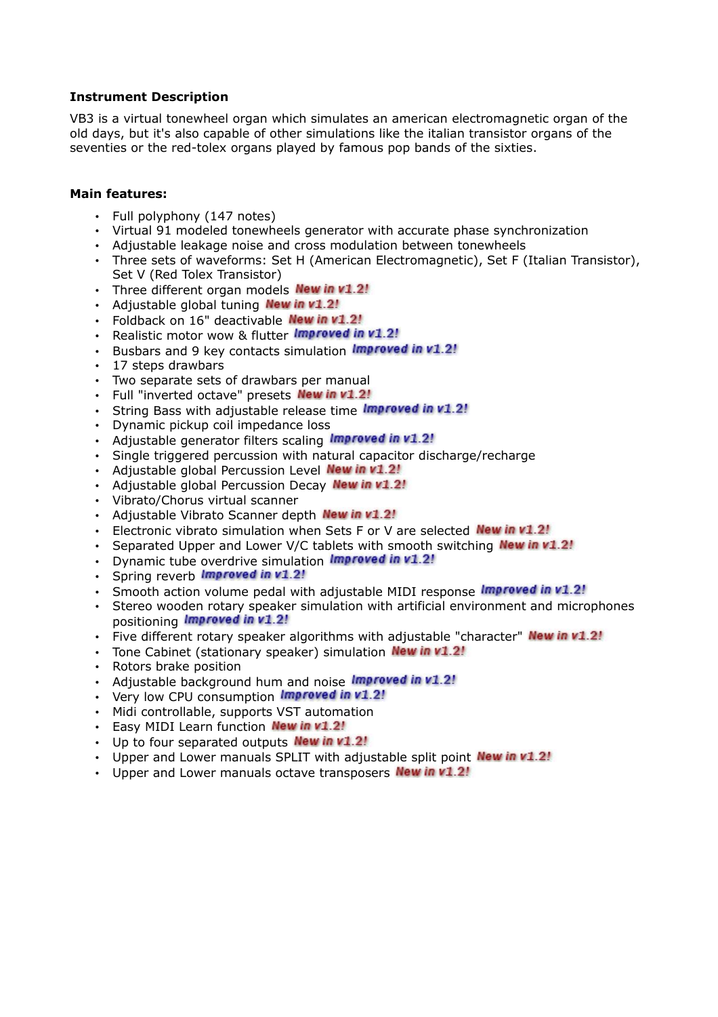## <span id="page-3-0"></span>**Instrument Description**

VB3 is a virtual tonewheel organ which simulates an american electromagnetic organ of the old days, but it's also capable of other simulations like the italian transistor organs of the seventies or the red-tolex organs played by famous pop bands of the sixties.

### **Main features:**

- Full polyphony (147 notes)
- Virtual 91 modeled tonewheels generator with accurate phase synchronization
- Adjustable leakage noise and cross modulation between tonewheels
- Three sets of waveforms: Set H (American Electromagnetic), Set F (Italian Transistor), Set V (Red Tolex Transistor)
- $\cdot$  Three different organ models **New in v1.2!**
- Adjustable global tuning New in v1.2!
- Foldback on 16" deactivable New in v1.2!
- Realistic motor wow & flutter *Improved in v1.2!*
- Busbars and 9 key contacts simulation Improved in v1.2!
- 17 steps drawbars
- Two separate sets of drawbars per manual
- Full "inverted octave" presets New in v1.2!
- String Bass with adjustable release time Improved in v1.2!
- Dynamic pickup coil impedance loss
- Adjustable generator filters scaling *Improved in v1.2!*
- Single triggered percussion with natural capacitor discharge/recharge
- Adjustable global Percussion Level New in v1.2!
- Adjustable global Percussion Decay New in v1.2!
- Vibrato/Chorus virtual scanner
- Adjustable Vibrato Scanner depth New in v1.2!
- Electronic vibrato simulation when Sets F or V are selected **New in v1.2!**
- Separated Upper and Lower V/C tablets with smooth switching New in v1.2!
- Dynamic tube overdrive simulation *Improved in v1.2!*
- Spring reverb *Improved in v1.2!*
- Smooth action volume pedal with adjustable MIDI response Improved in v1.2!
- Stereo wooden rotary speaker simulation with artificial environment and microphones positioning *Improved in v1.2!*
- Five different rotary speaker algorithms with adjustable "character" **New in v1.2!**
- Tone Cabinet (stationary speaker) simulation New in v1.2!
- Rotors brake position
- Adjustable background hum and noise Improved in v1.2!
- Very low CPU consumption *Improved in v1.2!*
- Midi controllable, supports VST automation
- Easy MIDI Learn function New in v1.2!
- $\cdot$  Up to four separated outputs **New in v1.2!**
- Upper and Lower manuals SPLIT with adjustable split point **New in v1.2!**
- Upper and Lower manuals octave transposers New in v1.2!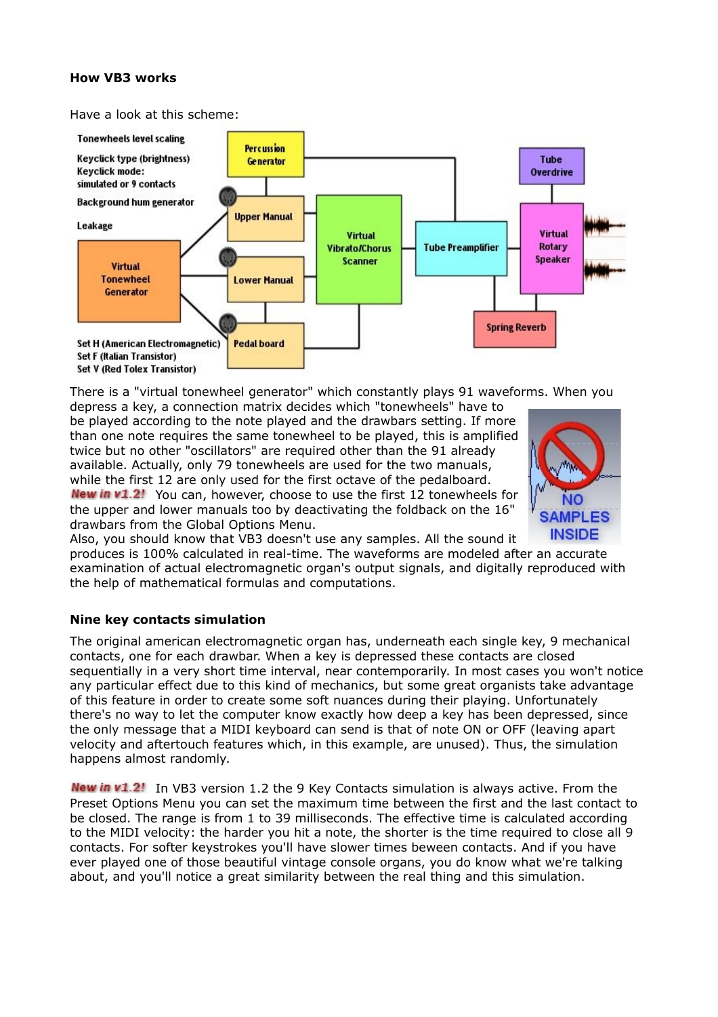## **How VB3 works**

Have a look at this scheme:



There is a "virtual tonewheel generator" which constantly plays 91 waveforms. When you depress a key, a connection matrix decides which "tonewheels" have to

be played according to the note played and the drawbars setting. If more than one note requires the same tonewheel to be played, this is amplified twice but no other "oscillators" are required other than the 91 already available. Actually, only 79 tonewheels are used for the two manuals, while the first 12 are only used for the first octave of the pedalboard. New in v1.2! You can, however, choose to use the first 12 tonewheels for the upper and lower manuals too by deactivating the foldback on the 16" drawbars from the Global Options Menu.



Also, you should know that VB3 doesn't use any samples. All the sound it

produces is 100% calculated in real-time. The waveforms are modeled after an accurate examination of actual electromagnetic organ's output signals, and digitally reproduced with the help of mathematical formulas and computations.

#### **Nine key contacts simulation**

The original american electromagnetic organ has, underneath each single key, 9 mechanical contacts, one for each drawbar. When a key is depressed these contacts are closed sequentially in a very short time interval, near contemporarily. In most cases you won't notice any particular effect due to this kind of mechanics, but some great organists take advantage of this feature in order to create some soft nuances during their playing. Unfortunately there's no way to let the computer know exactly how deep a key has been depressed, since the only message that a MIDI keyboard can send is that of note ON or OFF (leaving apart velocity and aftertouch features which, in this example, are unused). Thus, the simulation happens almost randomly.

New in v1.2! In VB3 version 1.2 the 9 Key Contacts simulation is always active. From the Preset Options Menu you can set the maximum time between the first and the last contact to be closed. The range is from 1 to 39 milliseconds. The effective time is calculated according to the MIDI velocity: the harder you hit a note, the shorter is the time required to close all 9 contacts. For softer keystrokes you'll have slower times beween contacts. And if you have ever played one of those beautiful vintage console organs, you do know what we're talking about, and you'll notice a great similarity between the real thing and this simulation.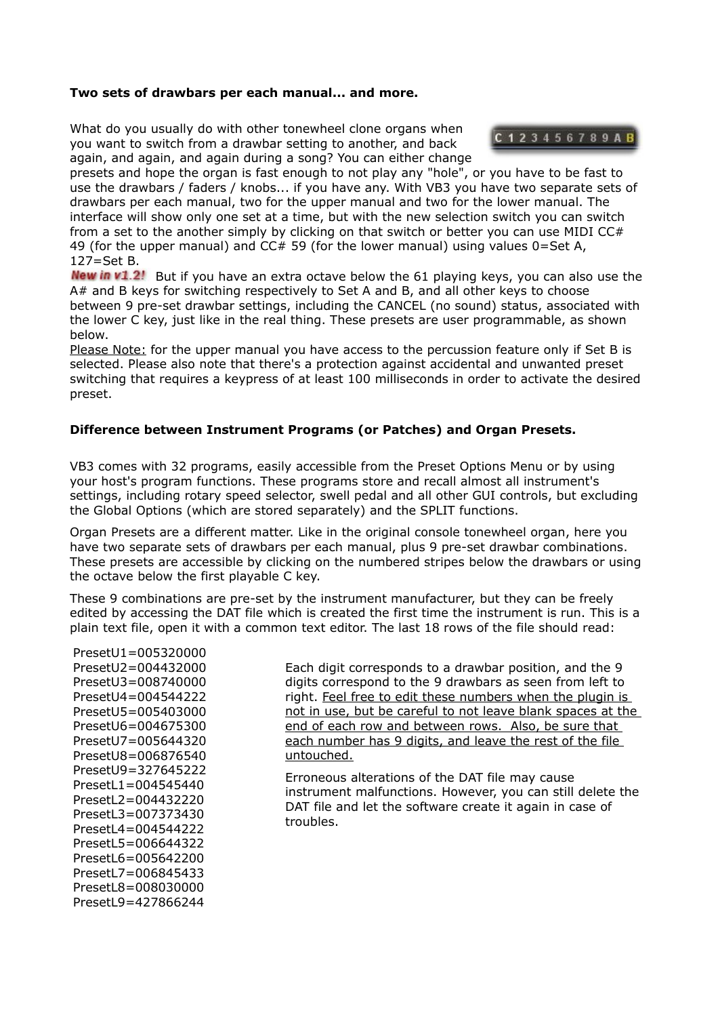#### **Two sets of drawbars per each manual... and more.**

What do you usually do with other tonewheel clone organs when you want to switch from a drawbar setting to another, and back again, and again, and again during a song? You can either change



presets and hope the organ is fast enough to not play any "hole", or you have to be fast to use the drawbars / faders / knobs... if you have any. With VB3 you have two separate sets of drawbars per each manual, two for the upper manual and two for the lower manual. The interface will show only one set at a time, but with the new selection switch you can switch from a set to the another simply by clicking on that switch or better you can use MIDI CC# 49 (for the upper manual) and  $CC# 59$  (for the lower manual) using values  $0=Set A$ ,  $127 = Set B$ .

**New in v1.2!** But if you have an extra octave below the 61 playing keys, you can also use the A# and B keys for switching respectively to Set A and B, and all other keys to choose between 9 pre-set drawbar settings, including the CANCEL (no sound) status, associated with the lower C key, just like in the real thing. These presets are user programmable, as shown below.

Please Note: for the upper manual you have access to the percussion feature only if Set B is selected. Please also note that there's a protection against accidental and unwanted preset switching that requires a keypress of at least 100 milliseconds in order to activate the desired preset.

## **Difference between Instrument Programs (or Patches) and Organ Presets.**

VB3 comes with 32 programs, easily accessible from the Preset Options Menu or by using your host's program functions. These programs store and recall almost all instrument's settings, including rotary speed selector, swell pedal and all other GUI controls, but excluding the Global Options (which are stored separately) and the SPLIT functions.

Organ Presets are a different matter. Like in the original console tonewheel organ, here you have two separate sets of drawbars per each manual, plus 9 pre-set drawbar combinations. These presets are accessible by clicking on the numbered stripes below the drawbars or using the octave below the first playable C key.

These 9 combinations are pre-set by the instrument manufacturer, but they can be freely edited by accessing the DAT file which is created the first time the instrument is run. This is a plain text file, open it with a common text editor. The last 18 rows of the file should read:

PresetU1=005320000 PresetU2=004432000 PresetU3=008740000  $President14=004544222$ PresetU5=005403000 PresetU6=004675300 PresetU7=005644320 PresetU8=006876540 PresetU9=327645222 PresetL1=004545440 PresetL2=004432220 PresetL3=007373430 PresetL4=004544222 PresetL5=006644322  $President6=005642200$ PresetL7=006845433 PresetL8=008030000 PresetL9=427866244

Each digit corresponds to a drawbar position, and the 9 digits correspond to the 9 drawbars as seen from left to right. Feel free to edit these numbers when the plugin is not in use, but be careful to not leave blank spaces at the end of each row and between rows. Also, be sure that each number has 9 digits, and leave the rest of the file untouched.

Erroneous alterations of the DAT file may cause instrument malfunctions. However, you can still delete the DAT file and let the software create it again in case of troubles.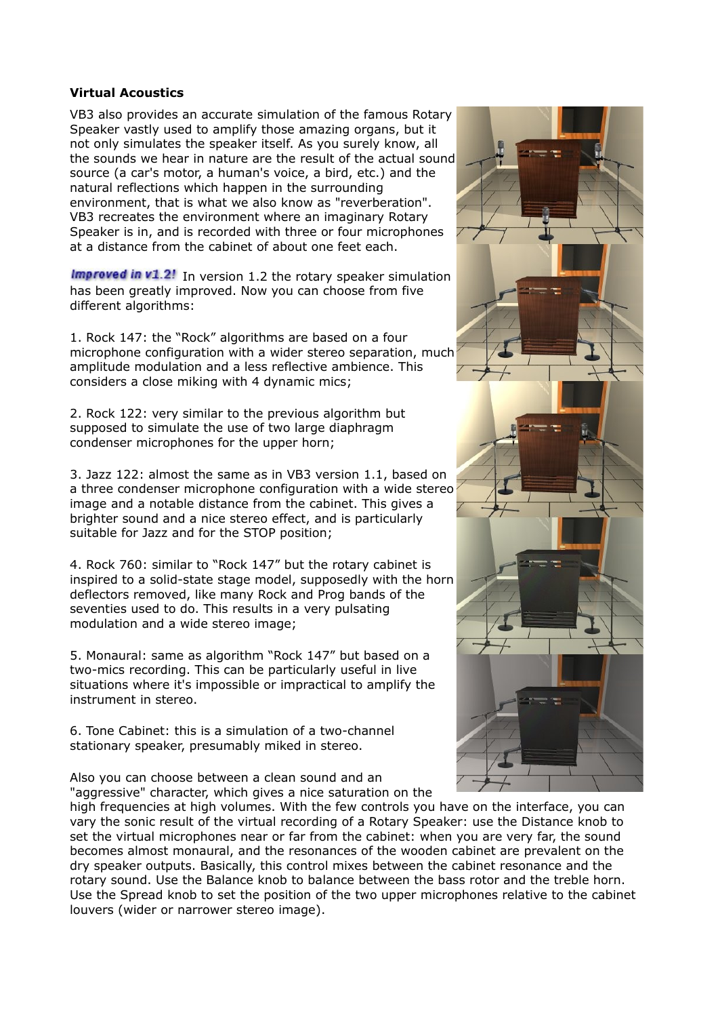### **Virtual Acoustics**

VB3 also provides an accurate simulation of the famous Rotary Speaker vastly used to amplify those amazing organs, but it not only simulates the speaker itself. As you surely know, all the sounds we hear in nature are the result of the actual sound source (a car's motor, a human's voice, a bird, etc.) and the natural reflections which happen in the surrounding environment, that is what we also know as "reverberation". VB3 recreates the environment where an imaginary Rotary Speaker is in, and is recorded with three or four microphones at a distance from the cabinet of about one feet each.

**Improved in v1.2!** In version 1.2 the rotary speaker simulation has been greatly improved. Now you can choose from five different algorithms:

1. Rock 147: the "Rock" algorithms are based on a four microphone configuration with a wider stereo separation, much amplitude modulation and a less reflective ambience. This considers a close miking with 4 dynamic mics;

2. Rock 122: very similar to the previous algorithm but supposed to simulate the use of two large diaphragm condenser microphones for the upper horn;

3. Jazz 122: almost the same as in VB3 version 1.1, based on a three condenser microphone configuration with a wide stereo image and a notable distance from the cabinet. This gives a brighter sound and a nice stereo effect, and is particularly suitable for Jazz and for the STOP position;

4. Rock 760: similar to "Rock 147" but the rotary cabinet is inspired to a solid-state stage model, supposedly with the horn deflectors removed, like many Rock and Prog bands of the seventies used to do. This results in a very pulsating modulation and a wide stereo image;

5. Monaural: same as algorithm "Rock 147" but based on a two-mics recording. This can be particularly useful in live situations where it's impossible or impractical to amplify the instrument in stereo.

6. Tone Cabinet: this is a simulation of a two-channel stationary speaker, presumably miked in stereo.

Also you can choose between a clean sound and an "aggressive" character, which gives a nice saturation on the



high frequencies at high volumes. With the few controls you have on the interface, you can vary the sonic result of the virtual recording of a Rotary Speaker: use the Distance knob to set the virtual microphones near or far from the cabinet: when you are very far, the sound becomes almost monaural, and the resonances of the wooden cabinet are prevalent on the dry speaker outputs. Basically, this control mixes between the cabinet resonance and the rotary sound. Use the Balance knob to balance between the bass rotor and the treble horn. Use the Spread knob to set the position of the two upper microphones relative to the cabinet louvers (wider or narrower stereo image).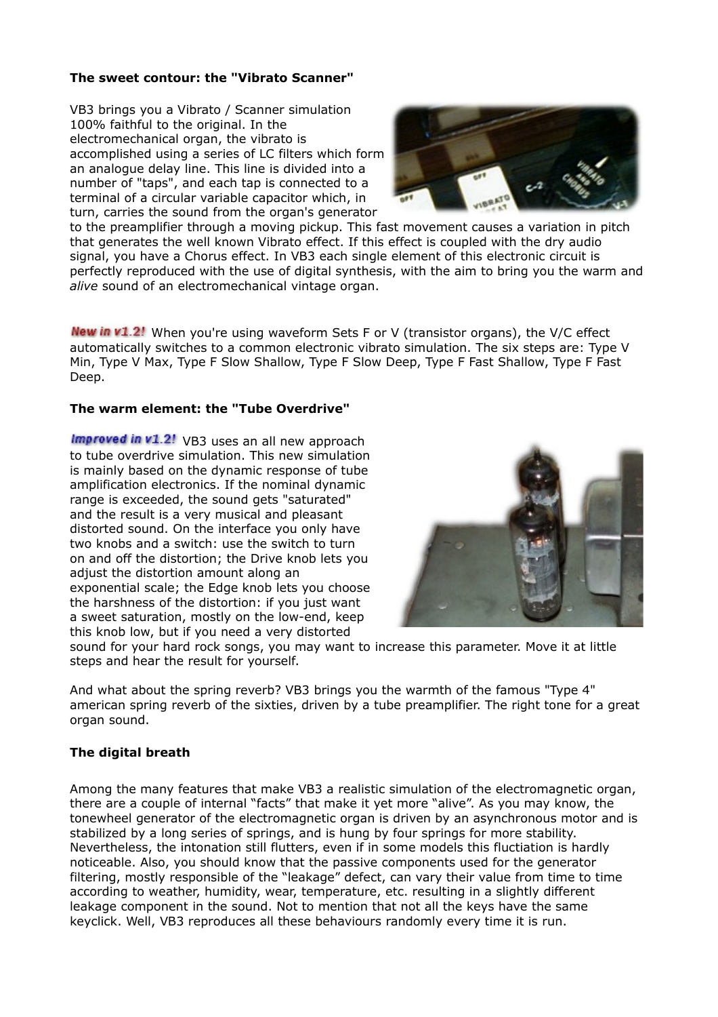## **The sweet contour: the "Vibrato Scanner"**

VB3 brings you a Vibrato / Scanner simulation 100% faithful to the original. In the electromechanical organ, the vibrato is accomplished using a series of LC filters which form an analogue delay line. This line is divided into a number of "taps", and each tap is connected to a terminal of a circular variable capacitor which, in turn, carries the sound from the organ's generator



to the preamplifier through a moving pickup. This fast movement causes a variation in pitch that generates the well known Vibrato effect. If this effect is coupled with the dry audio signal, you have a Chorus effect. In VB3 each single element of this electronic circuit is perfectly reproduced with the use of digital synthesis, with the aim to bring you the warm and *alive* sound of an electromechanical vintage organ.

New in v1.2! When you're using waveform Sets F or V (transistor organs), the V/C effect automatically switches to a common electronic vibrato simulation. The six steps are: Type V Min, Type V Max, Type F Slow Shallow, Type F Slow Deep, Type F Fast Shallow, Type F Fast Deep.

#### **The warm element: the "Tube Overdrive"**

Improved in  $v1.2!$  VB3 uses an all new approach to tube overdrive simulation. This new simulation is mainly based on the dynamic response of tube amplification electronics. If the nominal dynamic range is exceeded, the sound gets "saturated" and the result is a very musical and pleasant distorted sound. On the interface you only have two knobs and a switch: use the switch to turn on and off the distortion; the Drive knob lets you adjust the distortion amount along an exponential scale; the Edge knob lets you choose the harshness of the distortion: if you just want a sweet saturation, mostly on the low-end, keep this knob low, but if you need a very distorted



sound for your hard rock songs, you may want to increase this parameter. Move it at little steps and hear the result for yourself.

And what about the spring reverb? VB3 brings you the warmth of the famous "Type 4" american spring reverb of the sixties, driven by a tube preamplifier. The right tone for a great organ sound.

#### **The digital breath**

Among the many features that make VB3 a realistic simulation of the electromagnetic organ, there are a couple of internal "facts" that make it yet more "alive". As you may know, the tonewheel generator of the electromagnetic organ is driven by an asynchronous motor and is stabilized by a long series of springs, and is hung by four springs for more stability. Nevertheless, the intonation still flutters, even if in some models this fluctiation is hardly noticeable. Also, you should know that the passive components used for the generator filtering, mostly responsible of the "leakage" defect, can vary their value from time to time according to weather, humidity, wear, temperature, etc. resulting in a slightly different leakage component in the sound. Not to mention that not all the keys have the same keyclick. Well, VB3 reproduces all these behaviours randomly every time it is run.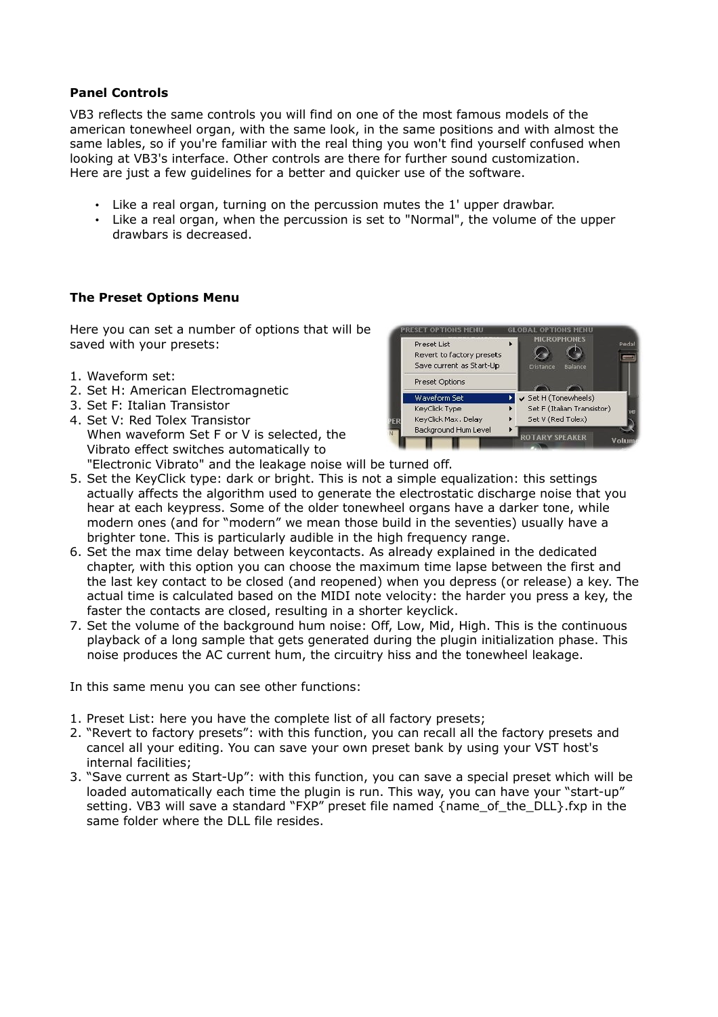## <span id="page-8-0"></span>**Panel Controls**

VB3 reflects the same controls you will find on one of the most famous models of the american tonewheel organ, with the same look, in the same positions and with almost the same lables, so if you're familiar with the real thing you won't find yourself confused when looking at VB3's interface. Other controls are there for further sound customization. Here are just a few guidelines for a better and quicker use of the software.

- Like a real organ, turning on the percussion mutes the 1' upper drawbar.
- Like a real organ, when the percussion is set to "Normal", the volume of the upper drawbars is decreased.

## **The Preset Options Menu**

Here you can set a number of options that will be saved with your presets:

- 1. Waveform set:
- 2. Set H: American Electromagnetic
- 3. Set F: Italian Transistor
- 4. Set V: Red Tolex Transistor When waveform Set F or V is selected, the Vibrato effect switches automatically to "Electronic Vibrato" and the leakage noise will be turned off.



- 5. Set the KeyClick type: dark or bright. This is not a simple equalization: this settings actually affects the algorithm used to generate the electrostatic discharge noise that you hear at each keypress. Some of the older tonewheel organs have a darker tone, while modern ones (and for "modern" we mean those build in the seventies) usually have a brighter tone. This is particularly audible in the high frequency range.
- 6. Set the max time delay between keycontacts. As already explained in the dedicated chapter, with this option you can choose the maximum time lapse between the first and the last key contact to be closed (and reopened) when you depress (or release) a key. The actual time is calculated based on the MIDI note velocity: the harder you press a key, the faster the contacts are closed, resulting in a shorter keyclick.
- 7. Set the volume of the background hum noise: Off, Low, Mid, High. This is the continuous playback of a long sample that gets generated during the plugin initialization phase. This noise produces the AC current hum, the circuitry hiss and the tonewheel leakage.

In this same menu you can see other functions:

- 1. Preset List: here you have the complete list of all factory presets;
- 2. "Revert to factory presets": with this function, you can recall all the factory presets and cancel all your editing. You can save your own preset bank by using your VST host's internal facilities;
- 3. "Save current as Start-Up": with this function, you can save a special preset which will be loaded automatically each time the plugin is run. This way, you can have your "start-up" setting. VB3 will save a standard "FXP" preset file named {name\_of\_the\_DLL}.fxp in the same folder where the DLL file resides.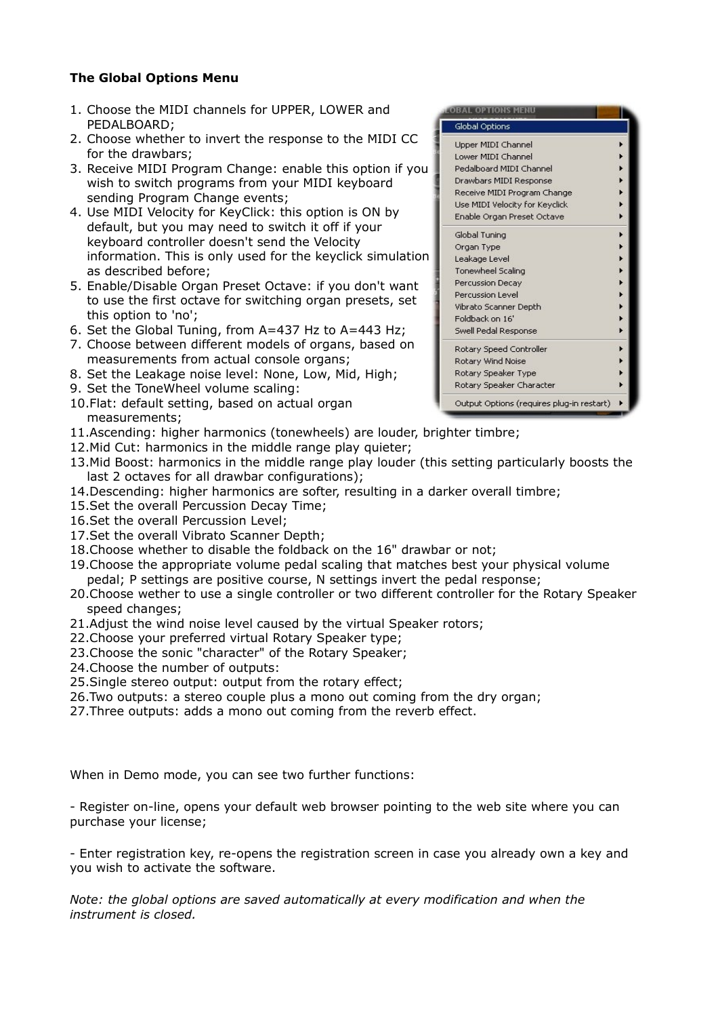# **The Global Options Menu**

- 1. Choose the MIDI channels for UPPER, LOWER and PEDALBOARD;
- 2. Choose whether to invert the response to the MIDI CC for the drawbars;
- 3. Receive MIDI Program Change: enable this option if you wish to switch programs from your MIDI keyboard sending Program Change events;
- 4. Use MIDI Velocity for KeyClick: this option is ON by default, but you may need to switch it off if your keyboard controller doesn't send the Velocity information. This is only used for the keyclick simulation as described before;
- 5. Enable/Disable Organ Preset Octave: if you don't want to use the first octave for switching organ presets, set this option to 'no';
- 6. Set the Global Tuning, from A=437 Hz to A=443 Hz;
- 7. Choose between different models of organs, based on measurements from actual console organs;
- 8. Set the Leakage noise level: None, Low, Mid, High;
- 9. Set the ToneWheel volume scaling:
- 10.Flat: default setting, based on actual organ measurements;
- 11.Ascending: higher harmonics (tonewheels) are louder, brighter timbre;
- 12. Mid Cut: harmonics in the middle range play quieter:
- 13.Mid Boost: harmonics in the middle range play louder (this setting particularly boosts the last 2 octaves for all drawbar configurations);
- 14.Descending: higher harmonics are softer, resulting in a darker overall timbre;
- 15.Set the overall Percussion Decay Time;
- 16.Set the overall Percussion Level;
- 17.Set the overall Vibrato Scanner Depth;
- 18.Choose whether to disable the foldback on the 16" drawbar or not;
- 19.Choose the appropriate volume pedal scaling that matches best your physical volume pedal; P settings are positive course, N settings invert the pedal response;
- 20.Choose wether to use a single controller or two different controller for the Rotary Speaker speed changes;
- 21. Adjust the wind noise level caused by the virtual Speaker rotors;
- 22.Choose your preferred virtual Rotary Speaker type;
- 23.Choose the sonic "character" of the Rotary Speaker;
- 24.Choose the number of outputs:
- 25.Single stereo output: output from the rotary effect;
- 26.Two outputs: a stereo couple plus a mono out coming from the dry organ;
- 27.Three outputs: adds a mono out coming from the reverb effect.

When in Demo mode, you can see two further functions:

- Register on-line, opens your default web browser pointing to the web site where you can purchase your license;

- Enter registration key, re-opens the registration screen in case you already own a key and you wish to activate the software.

*Note: the global options are saved automatically at every modification and when the instrument is closed.*

| <b>LOBAL OPTIONS MENU</b>                 |  |
|-------------------------------------------|--|
| Global Options                            |  |
| Upper MIDI Channel                        |  |
| Lower MIDI Channel                        |  |
| Pedalboard MIDI Channel                   |  |
| Drawbars MIDI Response                    |  |
| Receive MIDI Program Change               |  |
| Use MIDI Velocity for Keyclick            |  |
| Enable Organ Preset Octave                |  |
| Global Tuning                             |  |
| Organ Type                                |  |
| Leakage Level                             |  |
| <b>Tonewheel Scaling</b>                  |  |
| <b>Percussion Decay</b>                   |  |
| Percussion Level                          |  |
| Vibrato Scanner Depth                     |  |
| Foldback on 16'                           |  |
| Swell Pedal Response                      |  |
| Rotary Speed Controller                   |  |
| Rotary Wind Noise                         |  |
| Rotary Speaker Type                       |  |
| Rotary Speaker Character                  |  |
| Output Options (requires plug-in restart) |  |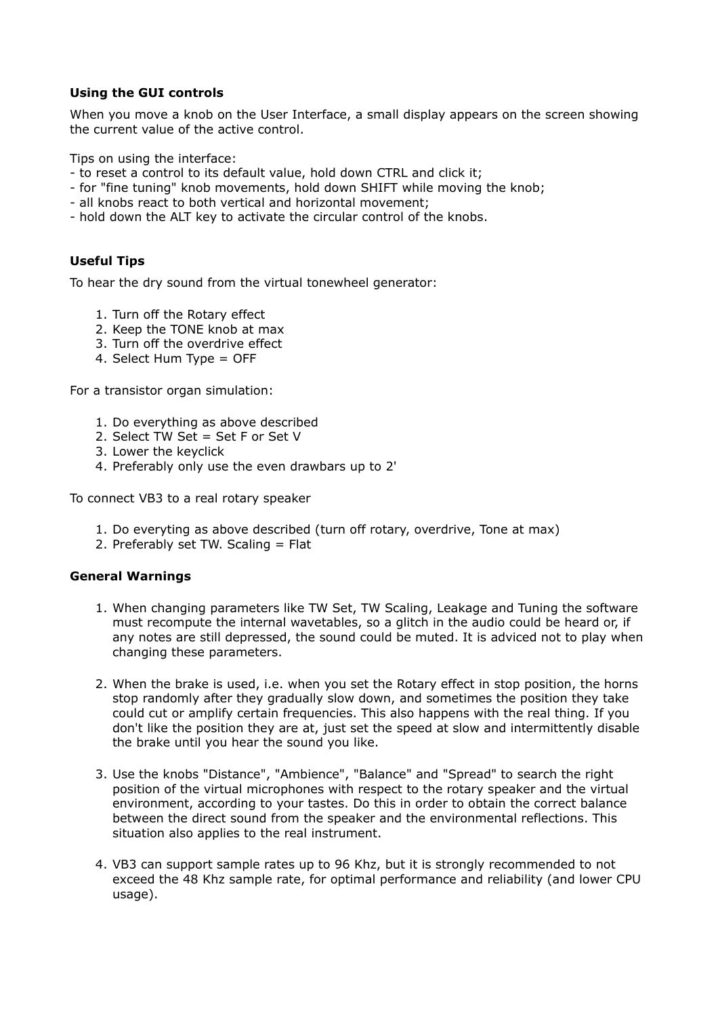## **Using the GUI controls**

When you move a knob on the User Interface, a small display appears on the screen showing the current value of the active control.

Tips on using the interface:

- to reset a control to its default value, hold down CTRL and click it;
- for "fine tuning" knob movements, hold down SHIFT while moving the knob;
- all knobs react to both vertical and horizontal movement;
- hold down the ALT key to activate the circular control of the knobs.

# **Useful Tips**

To hear the dry sound from the virtual tonewheel generator:

- 1. Turn off the Rotary effect
- 2. Keep the TONE knob at max
- 3. Turn off the overdrive effect
- 4. Select Hum Type = OFF

For a transistor organ simulation:

- 1. Do everything as above described
- 2. Select TW Set = Set F or Set V
- 3. Lower the keyclick
- 4. Preferably only use the even drawbars up to 2'

To connect VB3 to a real rotary speaker

- 1. Do everyting as above described (turn off rotary, overdrive, Tone at max)
- 2. Preferably set TW. Scaling = Flat

# **General Warnings**

- 1. When changing parameters like TW Set, TW Scaling, Leakage and Tuning the software must recompute the internal wavetables, so a glitch in the audio could be heard or, if any notes are still depressed, the sound could be muted. It is adviced not to play when changing these parameters.
- 2. When the brake is used, i.e. when you set the Rotary effect in stop position, the horns stop randomly after they gradually slow down, and sometimes the position they take could cut or amplify certain frequencies. This also happens with the real thing. If you don't like the position they are at, just set the speed at slow and intermittently disable the brake until you hear the sound you like.
- 3. Use the knobs "Distance", "Ambience", "Balance" and "Spread" to search the right position of the virtual microphones with respect to the rotary speaker and the virtual environment, according to your tastes. Do this in order to obtain the correct balance between the direct sound from the speaker and the environmental reflections. This situation also applies to the real instrument.
- 4. VB3 can support sample rates up to 96 Khz, but it is strongly recommended to not exceed the 48 Khz sample rate, for optimal performance and reliability (and lower CPU usage).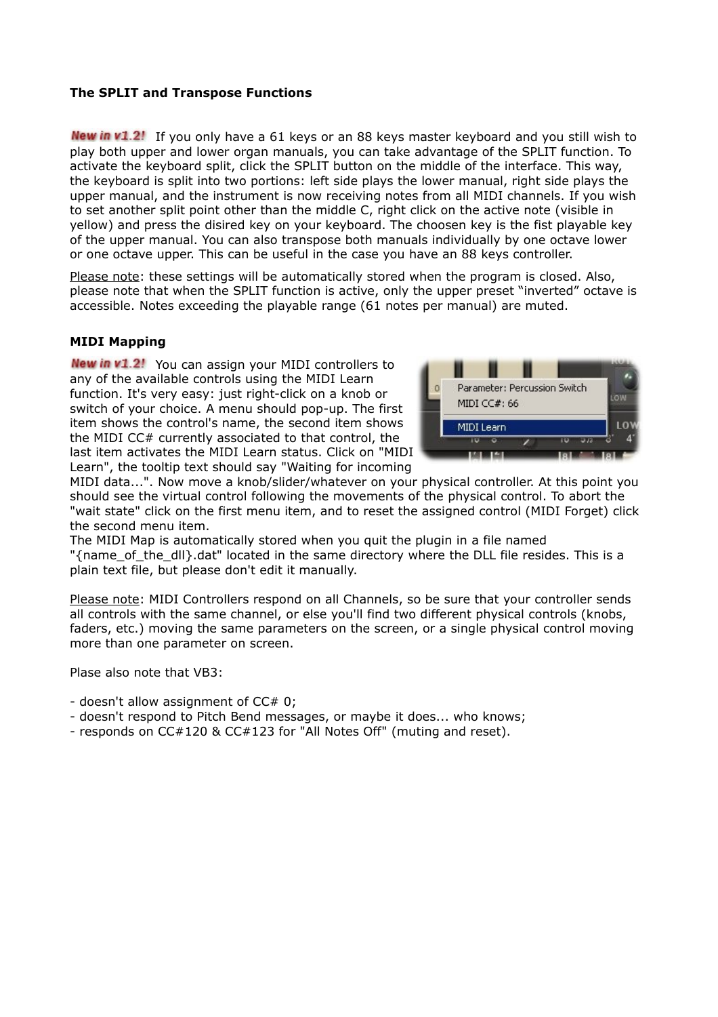## **The SPLIT and Transpose Functions**

New in v1.2! If you only have a 61 keys or an 88 keys master keyboard and you still wish to play both upper and lower organ manuals, you can take advantage of the SPLIT function. To activate the keyboard split, click the SPLIT button on the middle of the interface. This way, the keyboard is split into two portions: left side plays the lower manual, right side plays the upper manual, and the instrument is now receiving notes from all MIDI channels. If you wish to set another split point other than the middle C, right click on the active note (visible in yellow) and press the disired key on your keyboard. The choosen key is the fist playable key of the upper manual. You can also transpose both manuals individually by one octave lower or one octave upper. This can be useful in the case you have an 88 keys controller.

Please note: these settings will be automatically stored when the program is closed. Also, please note that when the SPLIT function is active, only the upper preset "inverted" octave is accessible. Notes exceeding the playable range (61 notes per manual) are muted.

## <span id="page-11-0"></span>**MIDI Mapping**

**New in v1.2!** You can assign your MIDI controllers to any of the available controls using the MIDI Learn function. It's very easy: just right-click on a knob or switch of your choice. A menu should pop-up. The first item shows the control's name, the second item shows the MIDI CC# currently associated to that control, the last item activates the MIDI Learn status. Click on "MIDI Learn", the tooltip text should say "Waiting for incoming



MIDI data...". Now move a knob/slider/whatever on your physical controller. At this point you should see the virtual control following the movements of the physical control. To abort the "wait state" click on the first menu item, and to reset the assigned control (MIDI Forget) click the second menu item.

The MIDI Map is automatically stored when you quit the plugin in a file named "{name\_of\_the\_dll}.dat" located in the same directory where the DLL file resides. This is a plain text file, but please don't edit it manually.

Please note: MIDI Controllers respond on all Channels, so be sure that your controller sends all controls with the same channel, or else you'll find two different physical controls (knobs, faders, etc.) moving the same parameters on the screen, or a single physical control moving more than one parameter on screen.

Plase also note that VB3:

- doesn't allow assignment of CC# 0;
- doesn't respond to Pitch Bend messages, or maybe it does... who knows;
- responds on CC#120 & CC#123 for "All Notes Off" (muting and reset).